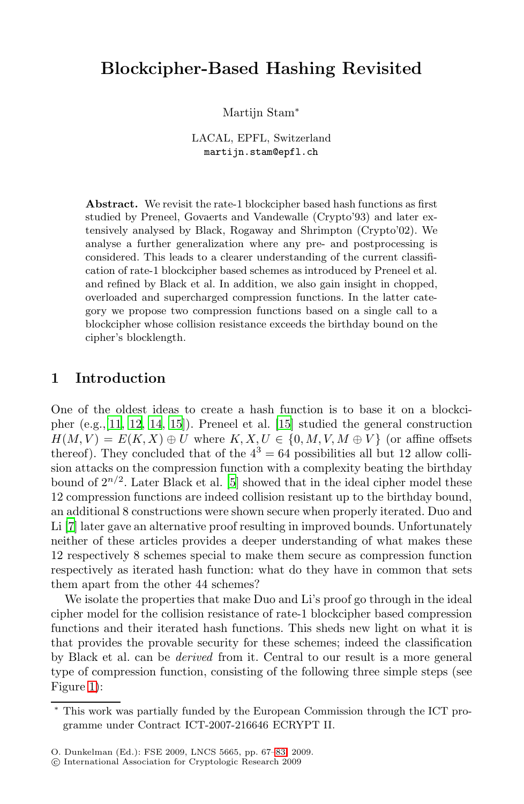# **Blockcipher-Based Hashing Revisited**

Martijn Stam<sup>∗</sup>

LACAL, EPFL, Switzerland martijn.stam@epfl.ch

Abstract. We revisit the rate-1 blockcipher based hash functions as first studied by Preneel, Govaerts and Vandewalle (Crypto'93) and later extensively analysed by Black, Rogaway and Shrimpton (Crypto'02). We analyse a further generalization where any pre- and postprocessing is considered. This leads to a clearer understanding of the current classification of rate-1 blockcipher based schemes as introduced by Preneel et al. and refined by Black et al. In addition, we also gain insight in chopped, overloaded and supercharged compression functions. In the latter category we propose t[wo](#page-16-0) compression functions based on a single call to a blockcipher whose collision resistance exceeds the birthday bound on the cipher's blocklength.

# **1 Introd[uc](#page-16-1)tion**

One of the oldest ideas to create a hash function is to base it on a blockcipher (e.g.,[11, 12, 14, 15]). Preneel et al. [15] studied the general construction  $H(M, V) = E(K, X) \oplus U$  where  $K, X, U \in \{0, M, V, M \oplus V\}$  (or affine offsets thereof). They concluded that of the  $4^3 = 64$  possibilities all but 12 allow collision attacks on the compression function with a complexity beating the birthday bound of  $2^{n/2}$ . Later Black et al. [5] showed that in the ideal cipher model these 12 compression functions are indeed collision resistant up to the birthday bound, an additional 8 constructions were shown secure when properly iterated. Duo and Li [7] later gave an alternative proof resulting in improved bounds. Unfortunately neither of these articles provides a deeper understanding of what makes these 12 respectively 8 schemes special to make them secure as compression function respectively as iterated hash function: what do they have in common that sets them apart from the other 44 schemes?

We isolate the properties that make Duo and Li's proof go through in the ideal cipher model for the collision resistance of rate-1 blockcipher based compression functions and their iterated hash functions. This sheds new light on what it is that provides the prov[abl](#page-16-2)e security for these schemes; indeed the classification by Black et al. can be derived from it. Central to our result is a more general type of compression function, consisting of the following three simple steps (see Figure 1):

This work was partially funded by the European Commission through the ICT programme under Contract ICT-2007-216646 ECRYPT II.

O. Dunkelman (Ed.): FSE 2009, LNCS 5665, pp. 67–83, 2009.

c International Association for Cryptologic Research 2009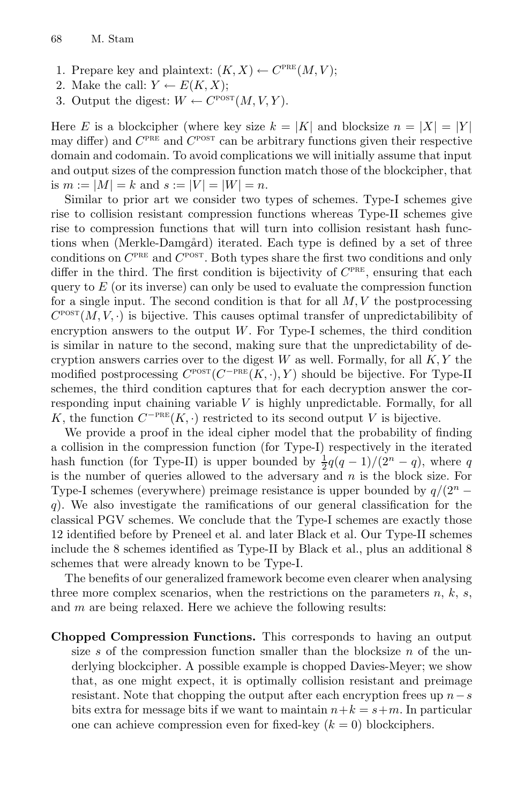- 1. Prepare key and plaintext:  $(K, X) \leftarrow C^{PRE}(M, V);$
- 2. Make the call:  $Y \leftarrow E(K, X);$
- 3. Output the digest:  $W \leftarrow C^{posT}(M, V, Y)$ .

Here E is a blockcipher (where key size  $k = |K|$  and blocksize  $n = |X| = |Y|$ may differ) and  $C^{PRE}$  and  $C^{POST}$  can be arbitrary functions given their respective domain and codomain. To avoid complications we will initially assume that input and output sizes of the compression function match those of the blockcipher, that is  $m := |M| = k$  and  $s := |V| = |W| = n$ .

Similar to prior art we consider two types of schemes. Type-I schemes give rise to collision resistant compression functions whereas Type-II schemes give rise to compression functions that will turn into collision resistant hash functions when (Merkle-Damgård) iterated. Each type is defined by a set of three conditions on  $C^{PRE}$  and  $C^{POST}$ . Both types share the first two conditions and only differ in the third. The first condition is bijectivity of  $C<sup>PRE</sup>$ , ensuring that each query to  $E$  (or its inverse) can only be used to evaluate the compression function for a single input. The second condition is that for all  $M, V$  the postprocessing  $C^{\text{POST}}(M, V, \cdot)$  is bijective. This causes optimal transfer of unpredictabilibity of encryption answers to the output  $W$ . For Type-I schemes, the third condition is similar in nature to the second, making sure that the unpredictability of decryption answers carries over to the digest  $W$  as well. Formally, for all  $K, Y$  the modified postprocessing  $C^{POST}(C^{-PRE}(K, \cdot), Y)$  should be bijective. For Type-II schemes, the third condition captures that for each decryption answer the corresponding input chaining variable  $V$  is highly unpredictable. Formally, for all K, the function  $C^{-PRE}(K, \cdot)$  restricted to its second output V is bijective.

We provide a proof in the ideal cipher model that the probability of finding a collision in the compression function (for Type-I) respectively in the iterated hash function (for Type-II) is upper bounded by  $\frac{1}{2}q(q-1)/(2^{n}-q)$ , where q is the number of queries allowed to the adversary and  $n$  is the block size. For Type-I schemes (everywhere) preimage resistance is upper bounded by  $q/(2^n$ q). We also investigate the ramifications of our general classification for the classical PGV schemes. We conclude that the Type-I schemes are exactly those 12 identified before by Preneel et al. and later Black et al. Our Type-II schemes include the 8 schemes identified as Type-II by Black et al., plus an additional 8 schemes that were already known to be Type-I.

The benefits of our generalized framework become even clearer when analysing three more complex scenarios, when the restrictions on the parameters  $n, k, s$ , and m are being relaxed. Here we achieve the following results:

**Chopped Compression Functions.** This corresponds to having an output size s of the compression function smaller than the blocksize  $n$  of the underlying blockcipher. A possible example is chopped Davies-Meyer; we show that, as one might expect, it is optimally collision resistant and preimage resistant. Note that chopping the output after each encryption frees up  $n-s$ bits extra for message bits if we want to maintain  $n+k = s+m$ . In particular one can achieve compression even for fixed-key  $(k = 0)$  blockciphers.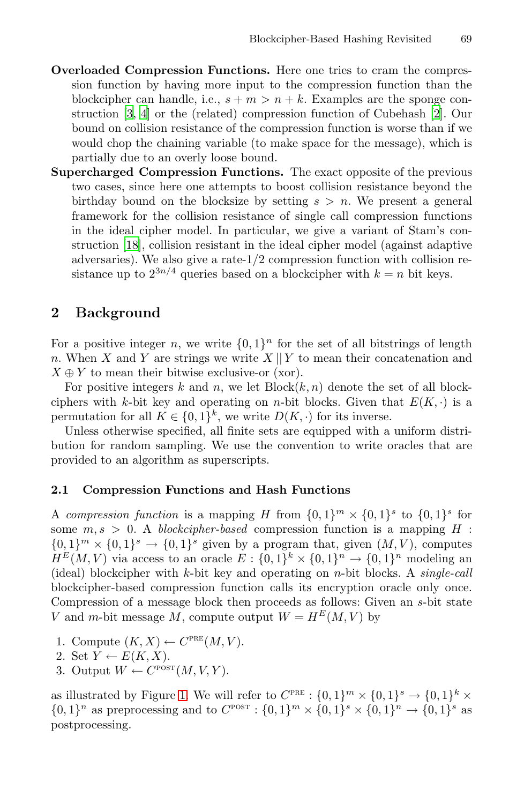- **Overloaded Compression Functions.** Here one tries to cram the compression function by having more input to the compression function than the blockcipher can handle, i.e.,  $s + m > n + k$ . Examples are the sponge construction [3, 4] or the (related) compression function of Cubehash [2]. Our bound on collision resistance of the compression function is worse than if we would chop the chaining variable (to make space for the message), which is partially due to an overly loose bound.
- **Supercharged Compression Functions.** The exact opposite of the previous two cases, since here one attempts to boost collision resistance beyond the birthday bound on the blocksize by setting  $s > n$ . We present a general framework for the collision resistance of single call compression functions in the ideal cipher model. In particular, we give a variant of Stam's construction [18], collision resistant in the ideal cipher model (against adaptive adversaries). We also give a rate-1/2 compression function with collision resistance up to  $2^{3n/4}$  queries based on a blockcipher with  $k = n$  bit keys.

## **2 Background**

For a positive integer n, we write  $\{0,1\}^n$  for the set of all bitstrings of length n. When X and Y are strings we write  $X \parallel Y$  to mean their concatenation and  $X \oplus Y$  to mean their bitwise exclusive-or (xor).

For positive integers k and n, we let  $Block(k, n)$  denote the set of all blockciphers with k-bit key and operating on *n*-bit blocks. Given that  $E(K, \cdot)$  is a permutation for all  $K \in \{0,1\}^k$ , we write  $D(K, \cdot)$  for its inverse.

Unless otherwise specified, all finite sets are equipped with a uniform distribution for random sampling. We use the convention to write oracles that are provided to an algorithm as superscripts.

#### **2.1 Compression Functions and Hash Functions**

A compression function is a mapping H from  $\{0,1\}^m \times \{0,1\}^s$  to  $\{0,1\}^s$  for some  $m, s > 0$ . A blockcipher-based compression function is a mapping H :  ${0,1}^m \times {0,1}^s \rightarrow {0,1}^s$  given by a program that, given  $(M, V)$ , computes  $H^E(M, V)$  via access to an oracle  $E: \{0,1\}^k \times \{0,1\}^n \to \{0,1\}^n$  modeling an (ideal) blockcipher with  $k$ -bit key and operating on *n*-bit blocks. A *single-call* bloc[kci](#page-3-0)pher-based compression function calls its encryption oracle only once. Compression of a message block then proceeds as follows: Given an s-bit state V and m-bit message M, compute output  $W = H^{E}(M, V)$  by

- 1. Compute  $(K, X) \leftarrow C^{PRE}(M, V)$ .
- 2. Set  $Y \leftarrow E(K, X)$ .
- 3. Output  $W \leftarrow C^{\text{POST}}(M, V, Y)$ .

as illustrated by Figure 1. We will refer to  $C^{\text{PRE}}: \{0,1\}^m \times \{0,1\}^s \to \{0,1\}^k \times$  $\{0,1\}^n$  as preprocessing and to  $C^{POST}$ :  $\{0,1\}^m \times \{0,1\}^s \times \{0,1\}^n \to \{0,1\}^s$  as postprocessing.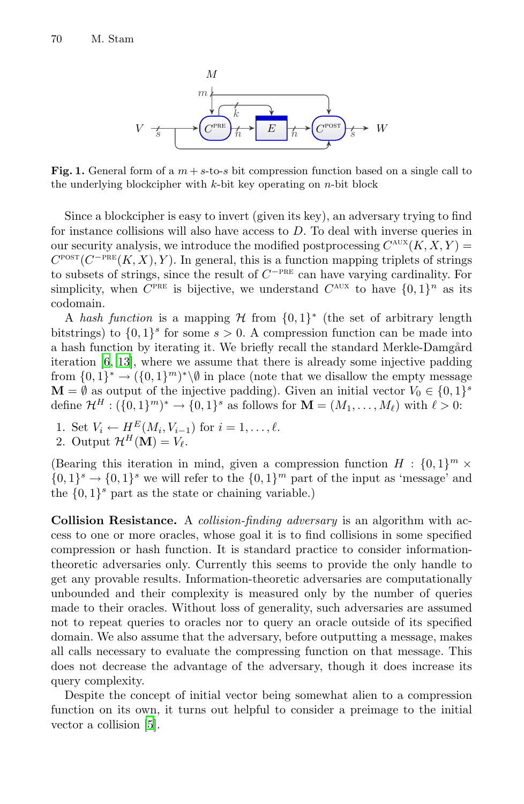

<span id="page-3-0"></span>**Fig. 1.** General form of a  $m + s$ -to-*s* bit compression function based on a single call to the underlying blockcipher with *k*-bit key operating on *n*-bit block

Since a blockcipher is easy to invert (given its key), an adversary trying to find for instance collisions will also have access to D. To deal with inverse queries in our security analysis, we introduce the modified postprocessing  $C^{AUX}(K, X, Y) =$  $C^{\text{POST}}(C^{-\text{PRE}}(K, X), Y)$ . In general, this is a function mapping triplets of strings to subsets of strings, since the result of  $C^{-PRE}$  can have varying cardinality. For simplicity, when  $C^{PRE}$  is bijective, we understand  $C^{AUX}$  to have  $\{0, 1\}^n$  as its codomain.

A hash function is a mapping H from  $\{0,1\}^*$  (the set of arbitrary length bitstrings) to  $\{0,1\}^s$  for some  $s > 0$ . A compression function can be made into a hash function by iterating it. We briefly recall the standard Merkle-Damgård iteration [6, 13], where we assume that there is already some injective padding from  $\{0,1\}^* \to (\{0,1\}^m)^*\backslash\emptyset$  in place (note that we disallow the empty message  $\mathbf{M} = \emptyset$  as output of the injective padding). Given an initial vector  $V_0 \in \{0,1\}^s$ define  $\mathcal{H}^H: (\{0,1\}^m)^* \to \{0,1\}^s$  as follows for  $\mathbf{M} = (M_1,\ldots,M_\ell)$  with  $\ell > 0$ :

1. Set  $V_i \leftarrow H^E(M_i, V_{i-1})$  for  $i = 1, \ldots, \ell$ . 2. Output  $\mathcal{H}^H(\mathbf{M}) = V_{\ell}$ .

(Bearing this iteration in mind, given a compression function  $H : \{0, 1\}^m \times$  $\{0,1\}^s \rightarrow \{0,1\}^s$  we will refer to the  $\{0,1\}^m$  part of the input as 'message' and the  $\{0,1\}^s$  part as the state or chaining variable.)

**Collision Resistance.** A collision-finding adversary is an algorithm with access to one or more oracles, whose goal it is to find collisions in some specified compression or hash function. It is standard practice to consider informationtheoretic adversaries only. Currently this seems to provide the only handle to get any provable results. Information-theoretic adversaries are computationally unbounded and their complexity is measured only by the number of queries [m](#page-16-1)ade to their oracles. Without loss of generality, such adversaries are assumed not to repeat queries to oracles nor to query an oracle outside of its specified domain. We also assume that the adversary, before outputting a message, makes all calls necessary to evaluate the compressing function on that message. This does not decrease the advantage of the adversary, though it does increase its query complexity.

Despite the concept of initial vector being somewhat alien to a compression function on its own, it turns out helpful to consider a preimage to the initial vector a collision [5].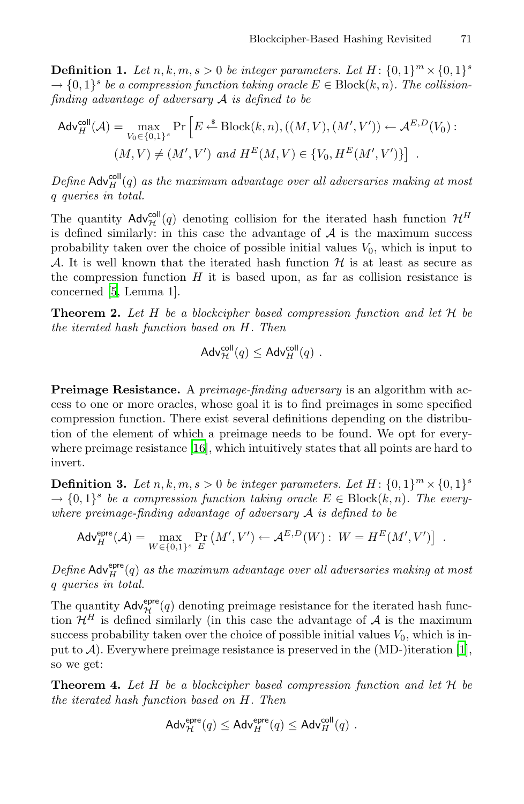**Definition 1.** Let  $n, k, m, s > 0$  be integer parameters. Let  $H: \{0, 1\}^m \times \{0, 1\}^s$  $\rightarrow \{0,1\}^s$  be a compression function taking oracle  $E \in Block(k,n)$ . The collisionfinding advantage of adversary A is defined to be

$$
\mathsf{Adv}_{H}^{\mathsf{coll}}(\mathcal{A}) = \max_{V_0 \in \{0,1\}^s} \Pr\left[E \xleftarrow{\text{*}} \text{Block}(k,n), ((M,V), (M',V')) \leftarrow \mathcal{A}^{E,D}(V_0):
$$

$$
(M,V) \neq (M',V') \text{ and } H^E(M,V) \in \{V_0, H^E(M',V')\}\right].
$$

Define  $\mathsf{Adv}^{\mathsf{coll}}_H(q)$  as the maximum advantage over all adversaries making at most q queries in total.

The quantity  $\mathsf{Adv}_{\mathcal{H}}^{\mathsf{coll}}(q)$  denoting collision for the iterated hash function  $\mathcal{H}^H$ is defined similarly: in this case the advantage of  $A$  is the maximum success probability taken over the choice of possible initial values  $V_0$ , which is input to A. It is well known that the iterated hash function  $H$  is at least as secure as the compression function  $H$  it is based upon, as far as collision resistance is concerned [5, Lemma 1].

**Theorem 2.** Let  $H$  be a blockcipher based compression function and let  $H$  be the iter[ated](#page-16-3) hash function based on H. Then

$$
\mathsf{Adv}_{\mathcal{H}}^{\mathsf{coll}}(q) \leq \mathsf{Adv}_{H}^{\mathsf{coll}}(q) \ .
$$

**Preimage Resistance.** A *preimage-finding adversary* is an algorithm with access to one or more oracles, whose goal it is to find preimages in some specified compression function. There exist several definitions depending on the distribution of the element of which a preimage needs to be found. We opt for everywhere preimage resistance [16], which intuitively states that all points are hard to invert.

**Definition 3.** Let  $n, k, m, s > 0$  be integer parameters. Let  $H: \{0, 1\}^m \times \{0, 1\}^s$  $\rightarrow \{0,1\}^s$  be a compression function taking oracle  $E \in Block(k,n)$ . The everywhere preimage-finding advantage of adversary  $A$  is defined to be

$$
\mathsf{Adv}_{H}^{\mathsf{epre}}(\mathcal{A}) = \max_{W \in \{0,1\}^s} \Pr_{E} \left( M', V' \right) \leftarrow \mathcal{A}^{E,D}(W) : W = H^E(M', V') \right] .
$$

Define  $\mathsf{Adv}^{\mathsf{epre}}_H(q)$  as the maximum advantage over all adversaries making at most q queries in total.

The quantity  $\mathsf{Adv}_{\mathcal{H}}^{\text{epre}}(q)$  denoting preimage resistance for the iterated hash function  $\mathcal{H}^H$  is defined similarly (in this case the advantage of A is the maximum success probability taken over the choice of possible initial values  $V_0$ , which is input to  $\mathcal{A}$ ). Everywhere preimage resistance is preserved in the (MD-)iteration [1], so we get:

**Theorem 4.** Let H be a blockcipher based compression function and let  $H$  be the iterated hash function based on H. Then

$$
\mathsf{Adv}_{\mathcal{H}}^{\mathsf{epre}}(q) \leq \mathsf{Adv}_{H}^{\mathsf{epre}}(q) \leq \mathsf{Adv}_{H}^{\mathsf{coll}}(q) \ .
$$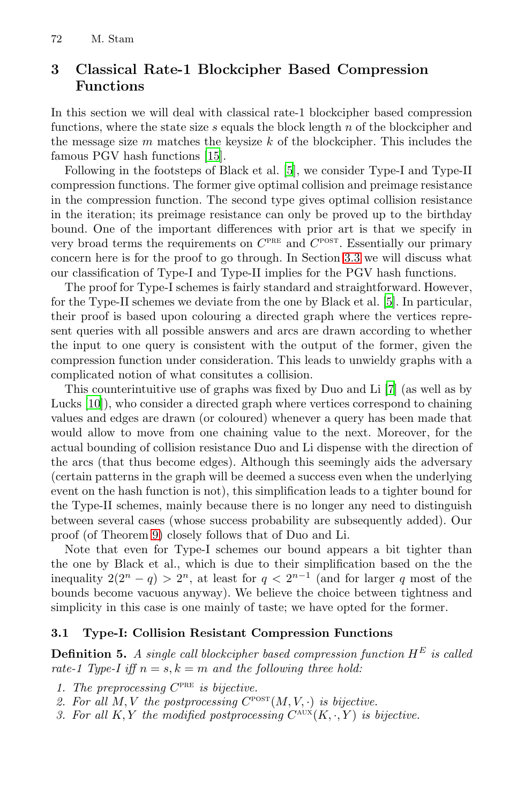# **3 Classical Rate-[1](#page-16-1) Blockcipher Based Compression Functions**

In this section we will deal with classical rate-1 blockcipher based compression functions, where the state size  $s$  equals the block length  $n$  of the blockcipher and the message size  $m$  matches the ke[ysize](#page-8-0)  $k$  of the blockcipher. This includes the famous PGV hash functions [15].

Following in the footsteps of Black et al. [5], we consider Type-I and Type-II compression functions. The former give opti[ma](#page-16-1)l collision and preimage resistance in the compression function. The second type gives optimal collision resistance in the iteration; its preimage resistance can only be proved up to the birthday bound. One of the important differences with prior art is that we specify in very broad terms the requirements on  $C<sup>PRE</sup>$  and  $C<sup>POST</sup>$ . Essentially our primary concern here is for the proof to go through. In Section 3.3 we will discuss what our classification of Type-I and Type-II imp[lie](#page-16-5)s for the PGV hash functions.

The proof for Type-I schemes is fairly standard and straightforward. However, for the Type-II schemes we deviate from the one by Black et al. [5]. In particular, their proof is based upon colouring a directed graph where the vertices represent queries with all possible answers and arcs are drawn according to whether the input to one query is consistent with the output of the former, given the compression function under consideration. This leads to unwieldy graphs with a complicated notion of what consitutes a collision.

This counterintuitive use of graphs was fixed by Duo and Li [7] (as well as by Lucks [10]), who consider a directed graph where vertices correspond to chaining [va](#page-7-0)lues and edges are drawn (or coloured) whenever a query has been made that would allow to move from one chaining value to the next. Moreover, for the actual bounding of collision resistance Duo and Li dispense with the direction of the arcs (that thus become edges). Although this seemingly aids the adversary (certain patterns in the graph will be deemed a success even when the underlying event on the hash function is not), this simplification leads to a tighter bound for the Type-II schemes, mainly because there is no longer any need to distinguish between several cases (whose success probability are subsequently added). Our proof (of Theorem 9) closely follows that of Duo and Li.

<span id="page-5-0"></span>Note that even for Type-I schemes our bound appears a bit tighter than the one by Black et al., which is due to their simplification based on the the inequality  $2(2^n - q) > 2^n$ , at least for  $q < 2^{n-1}$  (and for larger q most of the bounds become vacuous anyway). We believe the choice between tightness and simplicity in this case is one mainly of taste; we have opted for the former.

#### **3.1 Type-I: Collision Resistant Compression Functions**

**Definition 5.** A single call blockcipher based compression function  $H^E$  is called rate-1 Type-I iff  $n = s, k = m$  and the following three hold:

- 1. The preprocessing  $C^{PRE}$  is bijective.
- 2. For all  $M, V$  the postprocessing  $C^{posr}(M, V, \cdot)$  is bijective.
- 3. For all K, Y the modified postprocessing  $C^{AUX}(K, \cdot, Y)$  is bijective.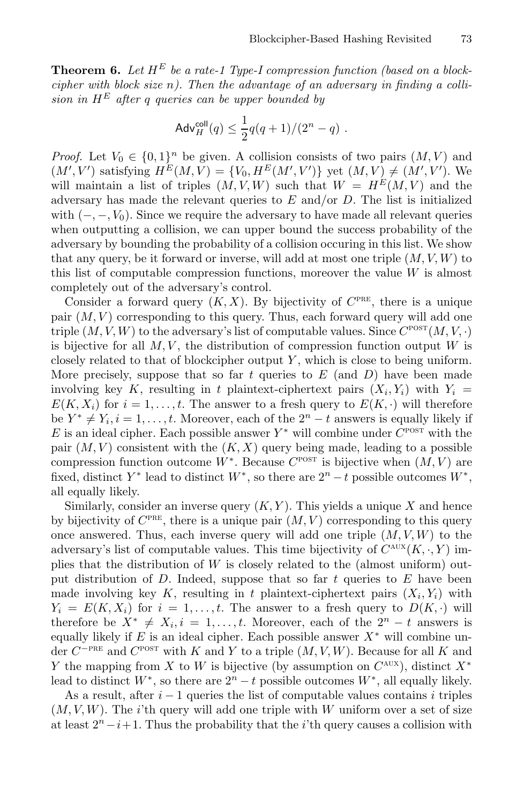<span id="page-6-0"></span>**Theorem 6.** Let  $H^E$  be a rate-1 Type-I compression function (based on a blockcipher with block size  $n$ ). Then the advantage of an adversary in finding a collision in  $H^E$  after q queries can be upper bounded by

$$
\mathsf{Adv}^{\mathsf{coll}}_H(q) \leq \frac{1}{2}q(q+1)/(2^n-q) \ .
$$

*Proof.* Let  $V_0 \in \{0,1\}^n$  be given. A collision consists of two pairs  $(M, V)$  and  $(M', V')$  satisfying  $H^E(M, V) = \{V_0, H^E(M', V')\}$  yet  $(M, V) \neq (M', V')$ . We will maintain a list of triples  $(M, V, W)$  such that  $W = H<sup>E</sup>(M, V)$  and the adversary has made the relevant queries to  $E$  and/or  $D$ . The list is initialized with  $(-, -, V_0)$ . Since we require the adversary to have made all relevant queries when outputting a collision, we can upper bound the success probability of the adversary by bounding the probability of a collision occuring in this list. We show that any query, be it forward or inverse, will add at most one triple  $(M, V, W)$  to this list of computable compression functions, moreover the value  $W$  is almost completely out of the adversary's control.

Consider a forward query  $(K, X)$ . By bijectivity of  $C^{PRE}$ , there is a unique pair  $(M, V)$  corresponding to this query. Thus, each forward query will add one triple  $(M, V, W)$  to the adversary's list of computable values. Since  $C^{\text{POST}}(M, V, \cdot)$ is bijective for all  $M, V$ , the distribution of compression function output  $W$  is closely related to that of blockcipher output  $Y$ , which is close to being uniform. More precisely, suppose that so far  $t$  queries to  $E$  (and  $D$ ) have been made involving key K, resulting in t plaintext-ciphertext pairs  $(X_i, Y_i)$  with  $Y_i =$  $E(K, X_i)$  for  $i = 1, \ldots, t$ . The answer to a fresh query to  $E(K, \cdot)$  will therefore be  $Y^* \neq Y_i, i = 1, \ldots, t$ . Moreover, each of the  $2^n - t$  answers is equally likely if E is an ideal cipher. Each possible answer  $Y^*$  will combine under  $C^{\text{POST}}$  with the pair  $(M, V)$  consistent with the  $(K, X)$  query being made, leading to a possible compression function outcome  $W^*$ . Because  $C^{\text{POST}}$  is bijective when  $(M, V)$  are fixed, distinct  $Y^*$  lead to distinct  $W^*$ , so there are  $2^n - t$  possible outcomes  $W^*$ , all equally likely.

Similarly, consider an inverse query  $(K, Y)$ . This yields a unique X and hence by bijectivity of  $C^{PRE}$ , there is a unique pair  $(M, V)$  corresponding to this query once answered. Thus, each inverse query will add one triple  $(M, V, W)$  to the adversary's list of computable values. This time bijectivity of  $C^{AUX}(K, \cdot, Y)$  implies that the distribution of W is closely related to the (almost uniform) output distribution of D. Indeed, suppose that so far t queries to  $E$  have been made involving key K, resulting in t plaintext-ciphertext pairs  $(X_i, Y_i)$  with  $Y_i = E(K, X_i)$  for  $i = 1, \ldots, t$ . The answer to a fresh query to  $D(K, \cdot)$  will therefore be  $X^* \neq X_i, i = 1, \ldots, t$ . Moreover, each of the  $2^n - t$  answers is equally likely if E is an ideal cipher. Each possible answer  $X^*$  will combine under  $C^{-PRE}$  and  $C^{POST}$  with K and Y to a triple  $(M, V, W)$ . Because for all K and Y the mapping from X to W is bijective (by assumption on  $C^{AUX}$ ), distinct  $X^*$ lead to distinct  $W^*$ , so there are  $2^n - t$  possible outcomes  $W^*$ , all equally likely.

As a result, after  $i - 1$  queries the list of computable values contains i triples  $(M, V, W)$ . The *i*'th query will add one triple with W uniform over a set of size at least  $2^{n}-i+1$ . Thus the probability that the *i*'th query causes a collision with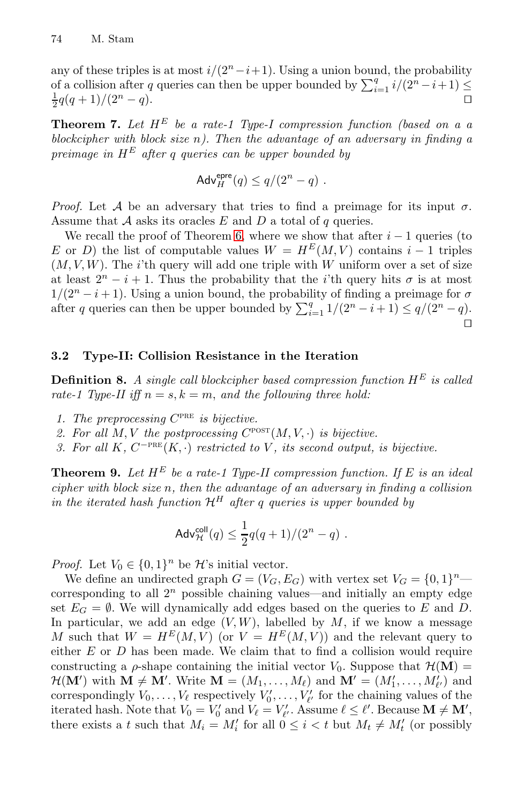<span id="page-7-2"></span>any of these triples is at most  $i/(2<sup>n</sup> - i + 1)$ . Using a union bound, the probability of a collision after q queries can then be upper bounded by  $\sum_{i=1}^{q} i/(2^n - i + 1) \leq$  $\frac{1}{2}q(q+1)/(2^{n}-q).$ 

**Theorem 7.** [Let](#page-6-0)  $H^E$  be a rate-1 Type-I compression function (based on a a blockcipher with block size  $n$ ). Then the advantage of an adversary in finding a preimage in  $H^E$  after q queries can be upper bounded by

$$
\mathsf{Adv}_{H}^{\mathsf{epre}}(q) \le q/(2^n - q) \ .
$$

*Proof.* Let A be an adversary that tries to find a preimage for its input  $\sigma$ . Assume that  $A$  asks its oracles  $E$  and  $D$  a total of  $q$  queries.

<span id="page-7-1"></span>We recall the proof of Theorem 6, where we show that after  $i - 1$  queries (to E or D) the list of computable values  $W = H^{E}(M, V)$  contains  $i - 1$  triples  $(M, V, W)$ . The *i*'th query will add one triple with W uniform over a set of size at least  $2^{n} - i + 1$ . Thus the probability that the *i*'th query hits  $\sigma$  is at most  $1/(2^{n} - i + 1)$ . Using a union bound, the probability of finding a preimage for  $\sigma$ after q queries can then be upper bounded by  $\sum_{i=1}^{q} 1/(2^n - i + 1) \leq q/(2^n - q)$ .  $\Box$ 

## <span id="page-7-0"></span>**3.2 Type-II: Collision Resistance in the Iteration**

**Definition 8.** A single call blockcipher based compression function  $H^E$  is called rate-1 Type-II iff  $n = s, k = m$ , and the following three hold:

- 1. The preprocessing  $C^{PRE}$  is bijective.
- 2. For all  $M, V$  the postprocessing  $C^{\text{post}}(M, V, \cdot)$  is bijective.
- 3. For all K,  $C^{-\text{PRE}}(K, \cdot)$  restricted to V, its second output, is bijective.

**Theorem 9.** Let  $H^E$  be a rate-1 Type-II compression function. If E is an ideal cipher with block size n, then the advantage of an adversary in finding a collision in the iterated hash function  $\mathcal{H}^H$  after q queries is upper bounded by

$$
\mathsf{Adv}_{\mathcal{H}}^{\mathsf{coll}}(q) \le \frac{1}{2}q(q+1)/(2^n-q) \ .
$$

*Proof.* Let  $V_0 \in \{0,1\}^n$  be  $\mathcal{H}$ 's initial vector.

We define an undirected graph  $G = (V_G, E_G)$  with vertex set  $V_G = \{0, 1\}^n$  corresponding to all  $2^n$  possible chaining values—and initially an empty edge set  $E_G = \emptyset$ . We will dynamically add edges based on the queries to E and D. In particular, we add an edge  $(V, W)$ , labelled by  $M$ , if we know a message M such that  $W = H^{E}(M, V)$  (or  $V = H^{E}(M, V)$ ) and the relevant query to either  $E$  or  $D$  has been made. We claim that to find a collision would require constructing a  $\rho$ -shape containing the initial vector  $V_0$ . Suppose that  $\mathcal{H}(\mathbf{M}) =$  $\mathcal{H}(\mathbf{M}')$  with  $\mathbf{M} \neq \mathbf{M}'$ . Write  $\mathbf{M} = (M_1, \ldots, M_\ell)$  and  $\mathbf{M}' = (M'_1, \ldots, M'_{\ell'})$  and correspondingly  $V_0, \ldots, V_\ell$  respectively  $V'_0, \ldots, V'_{\ell'}$  for the chaining values of the iterated hash. Note that  $V_0 = V'_0$  and  $V_\ell = V'_{\ell'}$ . Assume  $\ell \leq \ell'$ . Because  $\mathbf{M} \neq \mathbf{M}'$ , there exists a t such that  $M_i = M'_i$  for all  $0 \leq i < t$  but  $M_t \neq M'_t$  (or possibly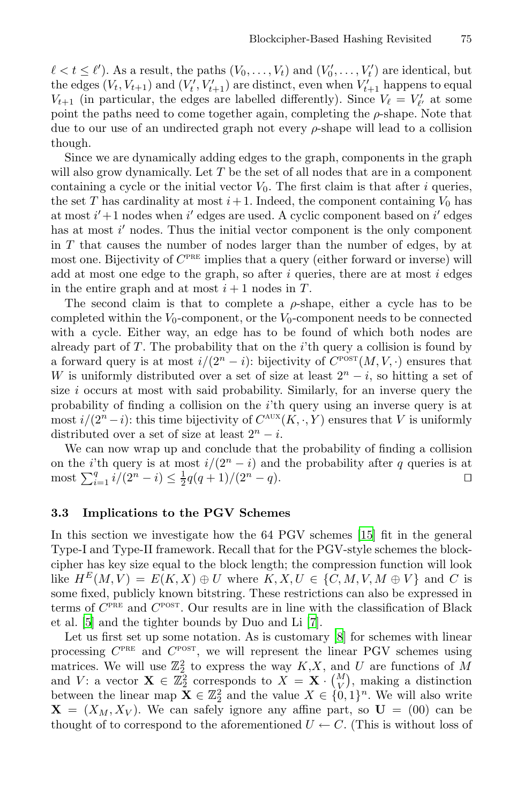$\ell < t \leq \ell'$ ). As a result, the paths  $(V_0, \ldots, V_t)$  and  $(V'_0, \ldots, V'_t)$  are identical, but the edges  $(V_t, V_{t+1})$  and  $(V'_t, V'_{t+1})$  are distinct, even when  $V'_{t+1}$  happens to equal  $V_{t+1}$  (in particular, the edges are labelled differently). Since  $V_{\ell} = V'_{\ell'}$  at some point the paths need to come together again, completing the  $\rho$ -shape. Note that due to our use of an undirected graph not every  $\rho$ -shape will lead to a collision though.

Since we are dynamically adding edges to the graph, components in the graph will also grow dynamically. Let T be the set of all nodes that are in a component containing a cycle or the initial vector  $V_0$ . The first claim is that after i queries, the set T has cardinality at most  $i+1$ . Indeed, the component containing  $V_0$  has at most  $i' + 1$  nodes when  $i'$  edges are used. A cyclic component based on  $i'$  edges has at most  $i'$  nodes. Thus the initial vector component is the only component in  $T$  that causes the number of nodes larger than the number of edges, by at most one. Bijectivity of  $C<sup>PRE</sup>$  implies that a query (either forward or inverse) will add at most one edge to the graph, so after  $i$  queries, there are at most  $i$  edges in the entire graph and at most  $i + 1$  nodes in T.

The second claim is that to complete a  $\rho$ -shape, either a cycle has to be completed within the  $V_0$ -component, or the  $V_0$ -component needs to be connected with a cycle. Either way, an edge has to be found of which both nodes are already part of  $T$ . The probability that on the *i*'th query a collision is found by a forward query is at most  $i/(2<sup>n</sup> - i)$ : bijectivity of  $C<sup>POST</sup>(M, V, \cdot)$  ensures that W is uniformly distributed over a set of size at least  $2<sup>n</sup> - i$ , so hitting a set of size i occurs at most with said probability. Similarly, for an inverse query the probability of finding a collision on the i'th query using an inverse query is at most  $i/(2^n-i)$ : this time bijectivity of  $C^{AUX}(K, \cdot, Y)$  $C^{AUX}(K, \cdot, Y)$  ensures that V is uniformly distributed over a set of size at least  $2^n - i$ .

<span id="page-8-0"></span>We can now wrap up and conclude that the probability of finding a collision on the *i*'th query is at most  $i/(2<sup>n</sup> - i)$  and the probability after q queries is at most  $\sum_{i=1}^{q} i/(2^{n} - i) \leq \frac{1}{2}q(q+1)/(2^{n} - q)$ .

#### **3.3 Implications to the [PG](#page-16-5)V [S](#page-16-6)chemes**

In this section we investigate how the 64 PGV schemes [15] fit in the general Type-I and Type-II framework. Recall that for the PGV-style schemes the blockcipher has key size equal to the block length; the compression function will look like  $H^E(M, V) = E(K, X) \oplus U$  where  $K, X, U \in \{C, M, V, M \oplus V\}$  and C is some fixed, publicly known bitstring. These restrictions can also be expressed in terms of  $C^{PRE}$  and  $C^{POST}$ . Our results are in line with the classification of Black et al. [5] and the tighter bounds by Duo and Li [7].

Let us first set up some notation. As is customary [8] for schemes with linear processing  $C^{PRE}$  and  $C^{POST}$ , we will represent the linear PGV schemes using matrices. We will use  $\mathbb{Z}_2^2$  to express the way  $K, X$ , and U are functions of M and V: a vector  $\mathbf{X} \in \mathbb{Z}_2^2$  corresponds to  $X = \mathbf{X} \cdot \begin{pmatrix} M \\ V \end{pmatrix}$ , making a distinction between the linear map  $X \in \mathbb{Z}_2^2$  and the value  $X \in \{0,1\}^n$ . We will also write  $X = (X_M, X_V)$ . We can safely ignore any affine part, so  $U = (00)$  can be thought of to correspond to the aforementioned  $U \leftarrow C$ . (This is without loss of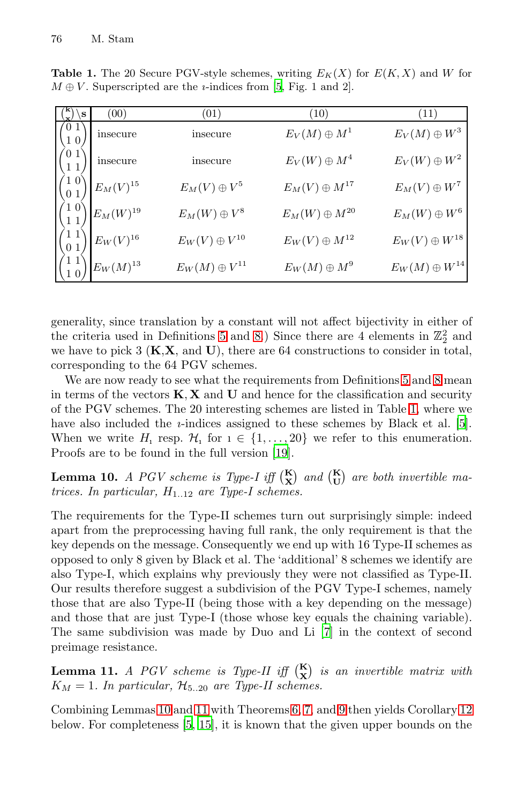| S | (00)                    | (01)                   | $^{\prime}10)$         | (11)                   |
|---|-------------------------|------------------------|------------------------|------------------------|
|   | insecure                | insecure               | $E_V(M) \oplus M^1$    | $E_V(M) \oplus W^3$    |
|   | insecure                | insecure               | $E_V(W) \oplus M^4$    | $E_V(W) \oplus W^2$    |
|   | $\mathcal{E}_M(V)^{15}$ | $E_M(V)\oplus V^5$     | $E_M(V)\oplus M^{17}$  | $E_M(V)\oplus W^7$     |
|   | $E_M(W)^{19}$           | $E_M(W) \oplus V^8$    | $E_M(W) \oplus M^{20}$ | $E_M(W)\oplus W^6$     |
|   | $E_W(V)^{16}$           | $E_W(V)\oplus V^{10}$  | $E_W(V) \oplus M^{12}$ | $E_W(V)\oplus W^{18}$  |
|   | $E_W(M)^{13}$           | $E_W(M) \oplus V^{11}$ | $E_W(M) \oplus M^9$    | $E_W(M) \oplus W^{14}$ |

**Table 1.** The 20 Secure PGV-style schemes, writing  $E_K(X)$  for  $E(K, X)$  and *W* for  $M \oplus V$ . Superscripted are the *i*-indices from [5, Fig. 1 and 2].

<span id="page-9-0"></span>generality, since translation by a constant will not affect [bi](#page-16-1)jectivity in either of the criteria used in De[fini](#page-16-7)tions 5 and 8.) Since there are 4 elements in  $\mathbb{Z}_2^2$  and we have to pick 3 (**K**,**X**, and **U**), there are 64 constructions to consider in total, corresponding to the 64 PGV schemes.

We are now ready to see what the requirements from Definitions 5 and 8 mean in terms of the vectors **K**, **X** and **U** and hence for the classification and security of the PGV schemes. The 20 interesting schemes are listed in Table 1, where we have also included the *i*-indices assigned to these schemes by Black et al. [5]. When we write  $H_1$  resp.  $\mathcal{H}_1$  for  $1 \in \{1, \ldots, 20\}$  we refer to this enumeration. Proofs are to be found in the full version [19].

**Lemma 10.** A PGV scheme is Type-I iff  $\binom{K}{X}$  and  $\binom{K}{U}$  are both invertible matrices. In particular,  $H_{1..12}$  are Type-I schemes.

<span id="page-9-1"></span>The requirements for the Type-[II](#page-16-5) schemes turn out surprisingly simple: indeed apart from the preprocessing having full rank, the only requirement is that the key depends on the message. Consequently we end up with 16 Type-II schemes as opposed to only 8 given by Black et al. The 'additional' 8 schemes we identify are also Type-I, which explains why previously they were not classified as Type-II. Our results therefore suggest a subdivision of the PGV Type-I schemes, namely t[hos](#page-9-0)e [th](#page-16-1)[a](#page-9-1)[t a](#page-16-0)re also Type-I[I](#page-6-0) [\(be](#page-7-2)ing [th](#page-7-0)ose with a key depe[ndin](#page-10-0)g on the message) and those that are just Type-I (those whose key equals the chaining variable). The same subdivision was made by Duo and Li [7] in the context of second preimage resistance.

**Lemma 11.** A PGV scheme is Type-II iff  $\begin{pmatrix} \mathbf{K} \\ \mathbf{X} \end{pmatrix}$  is an invertible matrix with  $K_M = 1$ . In particular,  $\mathcal{H}_{5..20}$  are Type-II schemes.

Combining Lemmas 10 and 11 with Theorems 6, 7, and 9 then yields Corollary 12 below. For completeness [5, 15], it is known that the given upper bounds on the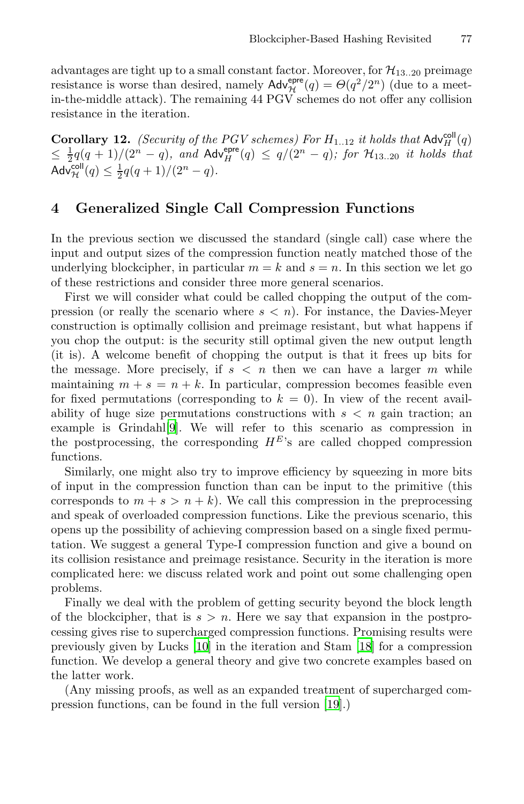<span id="page-10-0"></span>advantages are tight up to a small constant factor. Moreover, for  $\mathcal{H}_{13..20}$  preimage resistance is worse than desired, namely  $\mathsf{Adv}_{\mathcal{H}}^{\mathsf{epre}}(q) = \Theta(q^2/2^n)$  (due to a meetin-the-middle attack). The remaining 44 PGV schemes do not offer any collision resistance in the iteration.

**Corollary 12.** (Security of the PGV schemes) For  $H_{1..12}$  it holds that  $\mathsf{Adv}_{H}^{\mathsf{coll}}(q)$  $\leq \frac{1}{2}q(q + 1)/(2^n - q)$ , and Adv $_{H}^{\text{epre}}(q) ≤ q/(2^n - q)$ ; for  $\mathcal{H}_{13..20}$  it holds that Adv $_{\mathcal{H}}^{\mathsf{coll}}(q) \leq \frac{1}{2}q(q+1)/(2^{n}-q).$ 

# **4 Generalized Single Call Compression Functions**

In the previous section we discussed the standard (single call) case where the input and output sizes of the compression function neatly matched those of the underlying blockcipher, in particular  $m = k$  and  $s = n$ . In this section we let go of these restrictions and consider three more general scenarios.

First we will consider what could be called chopping the output of the compr[ess](#page-16-8)ion (or really the scenario where  $s < n$ ). For instance, the Davies-Meyer construction is optimally collision and preimage resistant, but what happens if you chop the output: is the security still optimal given the new output length (it is). A welcome benefit of chopping the output is that it frees up bits for the message. More precisely, if  $s < n$  then we can have a larger m while maintaining  $m + s = n + k$ . In particular, compression becomes feasible even for fixed permutations (corresponding to  $k = 0$ ). In view of the recent availability of huge size permutations constructions with  $s < n$  gain traction; an example is Grindahl[9]. We will refer to this scenario as compression in the postprocessing, the corresponding  $H^E$ 's are called chopped compression functions.

Similarly, one might also try to improve efficiency by squeezing in more bits of input in the compression function than can be input to the primitive (this corresponds to  $m + s > n + k$ ). We call this compression in the preprocessing and speak of overloaded compression functions. Like the previous scenario, this opens u[p th](#page-16-9)e possibility of achieving co[mp](#page-16-10)ression based on a single fixed permutation. We suggest a general Type-I compression function and give a bound on its collision resistance and preimage resistance. Security in the iteration is more complicated here: we discuss related work and point out some challenging open problems.

Finally we deal with the probl[em](#page-16-7) of getting security beyond the block length of the blockcipher, that is  $s > n$ . Here we say that expansion in the postprocessing gives rise to supercharged compression functions. Promising results were previously given by Lucks [10] in the iteration and Stam [18] for a compression function. We develop a general theory and give two concrete examples based on the latter work.

(Any missing proofs, as well as an expanded treatment of supercharged compression functions, can be found in the full version [19].)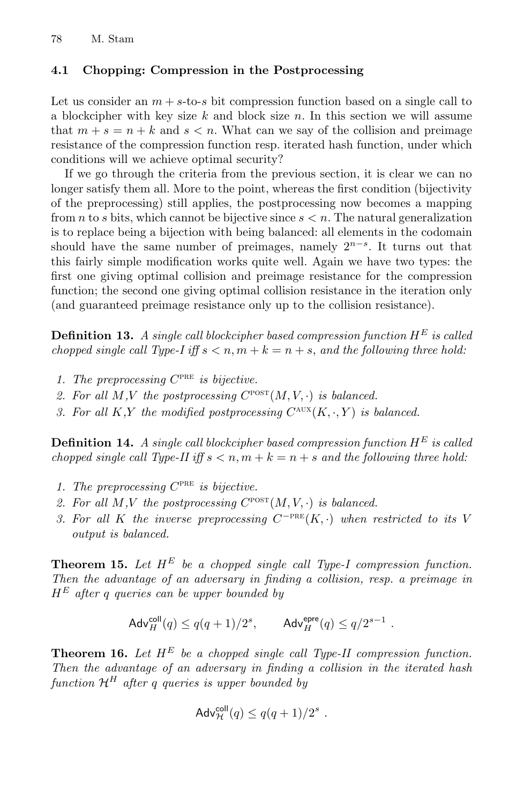### **4.1 Chopping: Compression in the Postprocessing**

Let us consider an  $m + s$ -to-s bit compression function based on a single call to a blockcipher with key size  $k$  and block size  $n$ . In this section we will assume that  $m + s = n + k$  and  $s < n$ . What can we say of the collision and preimage resistance of the compression function resp. iterated hash function, under which conditions will we achieve optimal security?

If we go through the criteria from the previous section, it is clear we can no longer satisfy them all. More to the point, whereas the first condition (bijectivity of the preprocessing) still applies, the postprocessing now becomes a mapping from n to s bits, which cannot be bijective since  $s < n$ . The natural generalization is to replace being a bijection with being balanced: all elements in the codomain should have the same number of preimages, namely  $2^{n-s}$ . It turns out that this fairly simple modification works quite well. Again we have two types: the first one giving optimal collision and preimage resistance for the compression function; the second one giving optimal collision resistance in the iteration only (and guaranteed preimage resistance only up to the collision resistance).

**Definition 13.** A single call blockcipher based compression function  $H^E$  is called chopped single call Type-I iff  $s < n, m + k = n + s$ , and the following three hold:

- 1. The preprocessing  $C^{PRE}$  is bijective.
- 2. For all M,V the postprocessing  $C^{\text{POST}}(M, V, \cdot)$  is balanced.
- 3. For all K,Y the modified postprocessing  $C^{AUX}(K, \cdot, Y)$  is balanced.

**Definition 14.** A single call blockcipher based compression function  $H^E$  is called chopped single call Type-II iff  $s < n, m + k = n + s$  and the following three hold:

- 1. The preprocessing  $C^{PRE}$  is bijective.
- 2. For all M,V the postprocessing  $C^{\text{POST}}(M, V, \cdot)$  is balanced.
- 3. For all K the inverse preprocessing  $C^{-PRE}(K, \cdot)$  when restricted to its V output is balanced.

<span id="page-11-0"></span>**Theorem 15.** Let  $H^E$  be a chopped single call Type-I compression function. Then the advantage of an adversary in finding a collision, resp. a preimage in  $H^E$  after q queries can be upper bounded by

$$
\mathsf{Adv}_{H}^{\mathsf{coll}}(q) \le q(q+1)/2^s, \qquad \mathsf{Adv}_{H}^{\mathsf{epre}}(q) \le q/2^{s-1} \ .
$$

**Theorem 16.** Let  $H^E$  be a chopped single call Type-II compression function. Then the advantage of an adversary in finding a collision in the iterated hash function  $\mathcal{H}^H$  after q queries is upper bounded by

$$
\mathsf{Adv}_{\mathcal{H}}^{\mathsf{coll}}(q) \le q(q+1)/2^s \ .
$$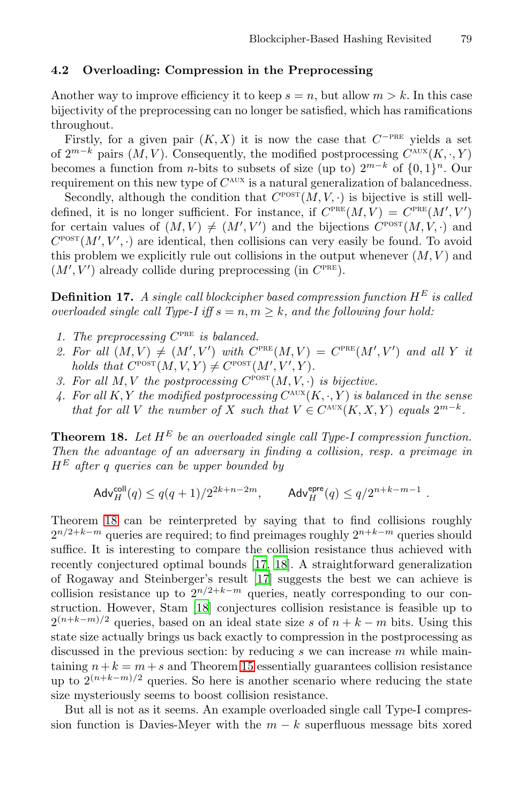#### **4.2 Overloading: Compression in the Preprocessing**

Another way to improve efficiency it to keep  $s = n$ , but allow  $m > k$ . In this case bijectivity of the preprocessing can no longer be satisfied, which has ramifications throughout.

Firstly, for a given pair  $(K, X)$  it is now the case that  $C^{-PRE}$  yields a set of  $2^{m-k}$  pairs  $(M, V)$ . Consequently, the modified postprocessing  $C^{AUX}(K, \cdot, Y)$ becomes a function from *n*-bits to subsets of size (up to)  $2^{m-k}$  of  $\{0, 1\}^n$ . Our requirement on this new type of  $C^{AUX}$  is a natural generalization of balancedness.

Secondly, although the condition that  $C^{\text{posr}}(M, V, \cdot)$  is bijective is still welldefined, it is no longer sufficient. For instance, if  $C^{PRE}(M, V) = C^{PRE}(M', V')$ for certain values of  $(M, V) \neq (M', V')$  and the bijections  $C^{\text{posr}}(M, V, \cdot)$  and  $C^{\text{POST}}(M', V', \cdot)$  are identical, then collisions can very easily be found. To avoid this problem we explicitly rule out collisions in the output whenever  $(M, V)$  and  $(M', V')$  already collide during preprocessing (in  $C<sup>PRE</sup>$ ).

**Definition 17.** A single call blockcipher based compression function  $H^E$  is called overloaded single call Type-I iff  $s = n, m \geq k$ , and the following four hold:

- 1. The preprocessing  $C^{PRE}$  is balanced.
- 2. For all  $(M, V) \neq (M', V')$  with  $C^{PRE}(M, V) = C^{PRE}(M', V')$  and all Y it holds that  $C^{\text{POST}}(M, V, Y) \neq C^{\text{POST}}(M', V', Y)$ .
- 3. For all M, V the postprocessing  $C^{POST}(M, V, \cdot)$  is bijective.
- 4. For all K, Y the modified postprocessing  $C^{AUX}(K, \cdot, Y)$  is balanced in the sense that for all V the number of X such that  $V \in C^{\text{aux}}(K, X, Y)$  equals  $2^{m-k}$ .

**Theorem 18.** Let  $H^E$  be an overloaded single call Type-I compression function. Then the advantag[e o](#page-16-11)f [an](#page-16-10) adversary in finding a collision, resp. a preimage in  $H^E$  after q queries [can](#page-16-11) be upper bounded by

$$
\mathsf{Adv}^{\mathsf{coll}}_H(q) \leq q(q+1)/2^{2k+n-2m}, \qquad \mathsf{Adv}^{\mathsf{epre}}_H(q) \leq q/2^{n+k-m-1} \ .
$$

Theorem 18 can be reinterpreted by saying that to find collisions roughly  $2^{n/2+k-m}$  queries are required; to find preimages roughly  $2^{n+k-m}$  queries should suffice. It is inte[rest](#page-11-0)ing to compare the collision resistance thus achieved with recently conjectured optimal bounds [17, 18]. A straightforward generalization of Rogaway and Steinberger's result [17] suggests the best we can achieve is collision resistance up to  $2^{n/2+k-m}$  queries, neatly corresponding to our construction. However, Stam [18] conjectures collision resistance is feasible up to  $2^{(n+k-m)/2}$  queries, based on an ideal state size s of  $n+k-m$  bits. Using this state size actually brings us back exactly to compression in the postprocessing as discussed in the previous section: by reducing  $s$  we can increase  $m$  while maintaining  $n+k = m+s$  and Theorem 15 essentially guarantees collision resistance up to  $2^{(n+k-m)/2}$  queries. So here is another scenario where reducing the state size mysteriously seems to boost collision resistance.

But all is not as it seems. An example overloaded single call Type-I compression function is Davies-Meyer with the  $m - k$  superfluous message bits xored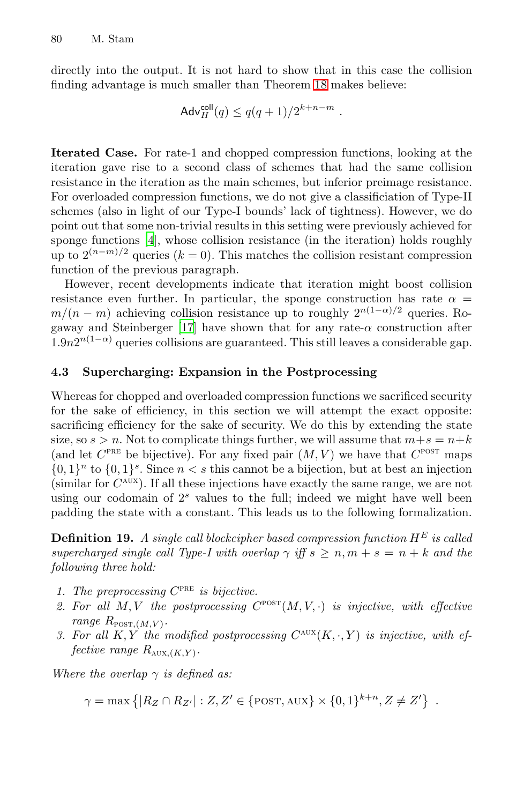directly into the output. It is not hard to show that in this case the collision finding advantage is much smaller than Theorem 18 makes believe:

$$
\mathsf{Adv}^{\mathsf{coll}}_H(q) \le q(q+1)/2^{k+n-m}.
$$

**Iterated Case.** For rate-1 and chopped compression functions, looking at the iteration gave rise to a second class of schemes that had the same collision resistance in the iteration as the main schemes, but inferior preimage resistance. For overloaded compression functions, we do not give a classificiation of Type-II sche[mes](#page-16-11) (also in light of our Type-I bounds' lack of tightness). However, we do point out that some non-trivial results in this setting were previously achieved for sponge functions [4], whose collision resistance (in the iteration) holds roughly up to  $2^{(n-m)/2}$  queries ( $k = 0$ ). This matches the collision resistant compression function of the previous paragraph.

However, recent developments indicate that iteration might boost collision resistance even further. In particular, the sponge construction has rate  $\alpha =$  $m/(n-m)$  achieving collision resistance up to roughly  $2^{n(1-\alpha)/2}$  queries. Rogaway and Steinberger [17] have shown that for any rate- $\alpha$  construction after  $1.9n2^{n(1-\alpha)}$  queries collisions are guaranteed. This still leaves a considerable gap.

#### **4.3 Supercharging: Expansion in the Postprocessing**

Whereas for chopped and overloaded compression functions we sacrificed security for the sake of efficiency, in this section we will attempt the exact opposite: sacrificing efficiency for the sake of security. We do this by extending the state size, so  $s > n$ . Not to complicate things further, we will assume that  $m+s = n+k$ (and let  $C^{PRE}$  be bijective). For any fixed pair  $(M, V)$  we have that  $C^{POST}$  maps  ${0, 1}^n$  to  ${0, 1}^s$ . Since  $n < s$  this cannot be a bijection, but at best an injection (similar for  $C^{AUX}$ ). If all these injections have exactly the same range, we are not using our codomain of  $2<sup>s</sup>$  values to the full; indeed we might have well been padding the state with a constant. This leads us to the following formalization.

**Definition 19.** A single call blockcipher based compression function  $H^E$  is called supercharged single call Type-I with overlap  $\gamma$  iff  $s \geq n, m + s = n + k$  and the following three hold:

- 1. The preprocessing  $C^{PRE}$  is bijective.
- 2. For all  $M, V$  the postprocessing  $C^{\text{posr}}(M, V, \cdot)$  is injective, with effective range  $R_{\text{POST},(M,V)}$ .
- 3. For all K, Y the modified postprocessing  $C^{AUX}(K, \cdot, Y)$  is injective, with effective range  $R_{\text{AUX},(K,Y)}$ .

Where the overlap  $\gamma$  is defined as:

 $\gamma = \max \{|R_Z \cap R_{Z'}| : Z, Z' \in \{\text{POST}, \text{AUX}\} \times \{0, 1\}^{k+n}, Z \neq Z'\}\enspace.$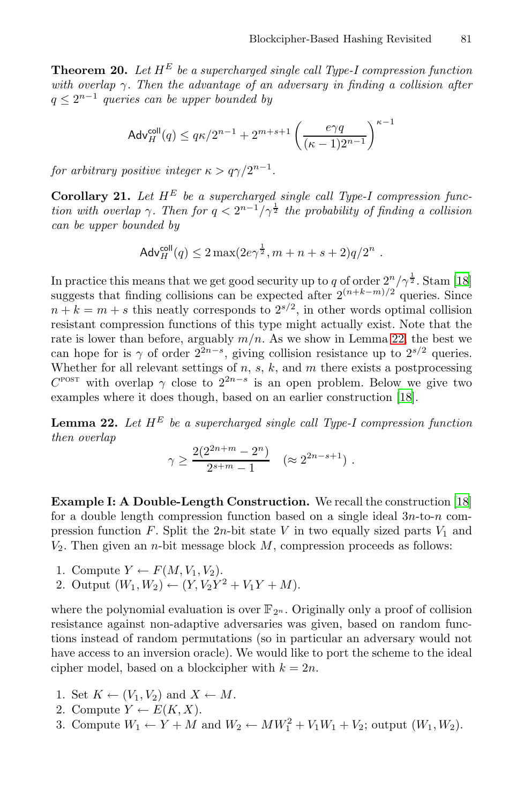**Theorem 20.** Let  $H^E$  be a supercharged single call Type-I compression function with overlap  $\gamma$ . Then the advantage of an adversary in finding a collision after  $q \leq 2^{n-1}$  queries can be upper bounded by

$$
\mathsf{Adv}^{\mathsf{coll}}_H(q) \leq q\kappa/2^{n-1} + 2^{m+s+1}\left(\frac{e\gamma q}{(\kappa-1)2^{n-1}}\right)^{\kappa-1}
$$

for arbitrary positive integer  $\kappa > q\gamma/2^{n-1}$ .

**Corollary 21.** Let  $H^E$  be a supercharged single call Type-I compression function with overlap  $\gamma$ . Then for  $q < 2^{n-1}/\gamma^{\frac{1}{2}}$  the probability of finding a collision can be upper bounded by

$$
Adv_H^{\text{coll}}(q) \le 2 \max(2e\gamma^{\frac{1}{2}}, m + n + s + 2)q/2^n.
$$

In practice this means that we get good securit[y up](#page-16-10) to q of order  $2^n/\gamma^{\frac{1}{2}}$ . Stam [18] suggests that finding collisions can be expected after  $2^{(n+k-m)/2}$  queries. Since  $n + k = m + s$  this neatly corresponds to  $2^{s/2}$ , in other words optimal collision resistant compression functions of this type might actually exist. Note that the rate is lower than before, arguably  $m/n$ . As we show in Lemma 22, the best we can hope for is  $\gamma$  of order  $2^{2n-s}$ , giving collision resistance up to  $2^{s/2}$  queries. Whether for all relevant settings of  $n, s, k$ , and  $m$  there exists a postprocessing  $C^{\text{POST}}$  with overlap  $\gamma$  close to  $2^{2n-s}$  is an open proble[m.](#page-16-10) Below we give two examples where it does though, based on an earlier construction [18].

**Lemma 22.** Let  $H^E$  be a supercharged single call Type-I compression function then overlap

$$
\gamma \ge \frac{2(2^{2n+m} - 2^n)}{2^{s+m} - 1} \quad (\approx 2^{2n-s+1}).
$$

**Example I: A Double-Length Construction.** We recall the construction [18] for a double length compression function based on a single ideal  $3n$ -to-n compression function F. Split the 2n-bit state V in two equally sized parts  $V_1$  and  $V_2$ . Then given an *n*-bit message block  $M$ , compression proceeds as follows:

- 1. Compute  $Y \leftarrow F(M, V_1, V_2)$ .
- 2. Output  $(W_1, W_2) \leftarrow (Y, V_2Y^2 + V_1Y + M).$

where the polynomial evaluation is over  $\mathbb{F}_{2^n}$ . Originally only a proof of collision resistance against non-adaptive adversaries was given, based on random functions instead of random permutations (so in particular an adversary would not have access to an inversion oracle). We would like to port the scheme to the ideal cipher model, based on a blockcipher with  $k = 2n$ .

- 1. Set  $K \leftarrow (V_1, V_2)$  and  $X \leftarrow M$ .
- 2. Compute  $Y \leftarrow E(K, X)$ .
- 3. Compute  $W_1 \leftarrow Y + M$  and  $W_2 \leftarrow MW_1^2 + V_1W_1 + V_2$ ; output  $(W_1, W_2)$ .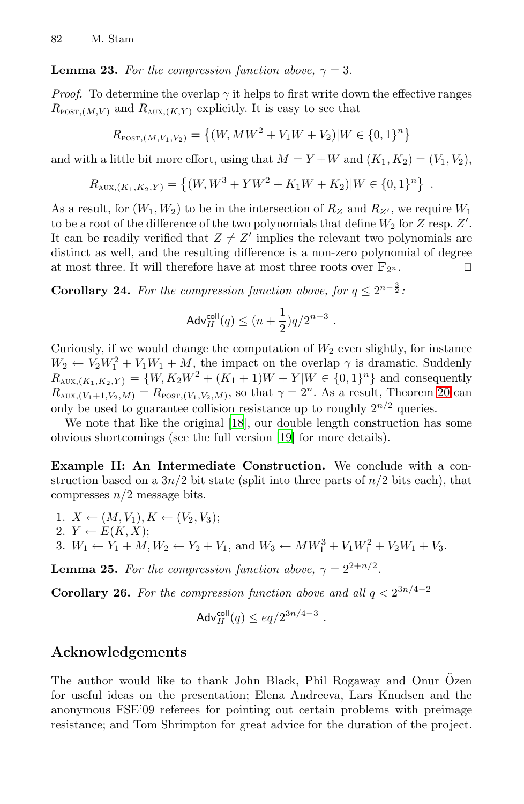## **Lemma 23.** For the compression function above,  $\gamma = 3$ .

*Proof.* To determine the overlap  $\gamma$  it helps to first write down the effective ranges  $R_{\text{POST.}(M,V)}$  and  $R_{\text{AUX.}(K,Y)}$  explicitly. It is easy to see that

$$
R_{\text{POST}, (M, V_1, V_2)} = \{(W, MW^2 + V_1W + V_2)|W \in \{0, 1\}^n\}
$$

and with a little bit more effort, using that  $M = Y + W$  and  $(K_1, K_2) = (V_1, V_2)$ ,

$$
R_{\text{AUX}, (K_1, K_2, Y)} = \left\{ (W, W^3 + YW^2 + K_1W + K_2) | W \in \{0, 1\}^n \right\}.
$$

As a result, for  $(W_1, W_2)$  to be in the intersection of  $R_Z$  and  $R_{Z'}$ , we require  $W_1$ to be a root of the difference of the two polynomials that define  $W_2$  for  $Z$  resp.  $Z'$ . It can be readily verified that  $Z \neq Z'$  implies the relevant two polynomials are distinct as well, and the resulting difference is a non-zero polynomial of degree at most three. It will therefore have at most three roots over  $\mathbb{F}_{2^n}$ .

**Corollary 24.** For the compression function above, for  $q \leq 2^{n-\frac{3}{2}}$ .

$$
\mathsf{Adv}_{H}^{\mathsf{coll}}(q) \le (n+\frac{1}{2})q/2^{n-3}.
$$

Curiously, if we would change the computation of  $W_2$  even slightly, for instance  $W_2 \leftarrow V_2 W_1^2 + V_1 W_1 + M$ , the impact on the overlap  $\gamma$  is dramatic. Suddenly  $R_{\text{AUX},(K_1,K_2,Y)} = \{W, K_2W^2 + (K_1 + 1)W + Y|W \in \{0,1\}^n\}$  and consequently  $R_{\text{AUX},(V_1+1,V_2,M)} = R_{\text{POST},(V_1,V_2,M)}$ , so that  $\gamma = 2^n$ . As a result, Theorem 20 can only be used to guarantee collision resistance up to roughly  $2^{n/2}$  queries.

We note that like the original [18], our double length construction has some obvious shortcomings (see the full version [19] for more details).

**Example II: An Intermediate Construction.** We conclude with a construction based on a  $3n/2$  bit state (split into three parts of  $n/2$  bits each), that compresses  $n/2$  message bits.

1.  $X \leftarrow (M, V_1), K \leftarrow (V_2, V_3);$ 2.  $Y \leftarrow E(K, X);$ 3.  $W_1 \leftarrow Y_1 + M, W_2 \leftarrow Y_2 + V_1$ , and  $W_3 \leftarrow MW_1^3 + V_1W_1^2 + V_2W_1 + V_3$ .

**Lemma 25.** For the compression function above,  $\gamma = 2^{2+n/2}$ .

**Corollary 26.** For the compression function above and all  $q < 2^{3n/4-2}$ 

$$
\mathsf{Adv}_{H}^{\mathsf{coll}}(q) \leq eq/2^{3n/4-3}.
$$

## **Acknowledgements**

The author would like to thank John Black, Phil Rogaway and Onur Özen for useful ideas on the presentation; Elena Andreeva, Lars Knudsen and the anonymous FSE'09 referees for pointing out certain problems with preimage resistance; and Tom Shrimpton for great advice for the duration of the project.